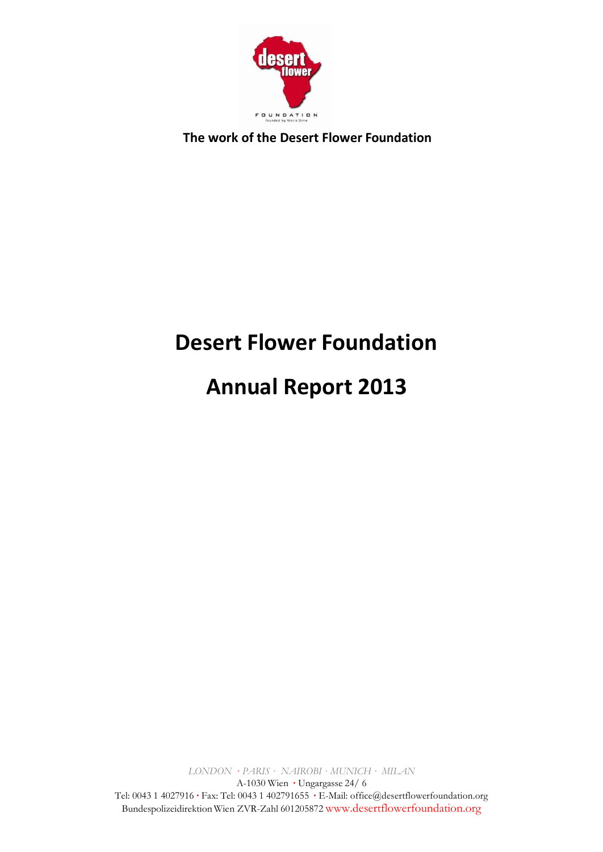

# **Desert Flower Foundation**

# **Annual Report 2013**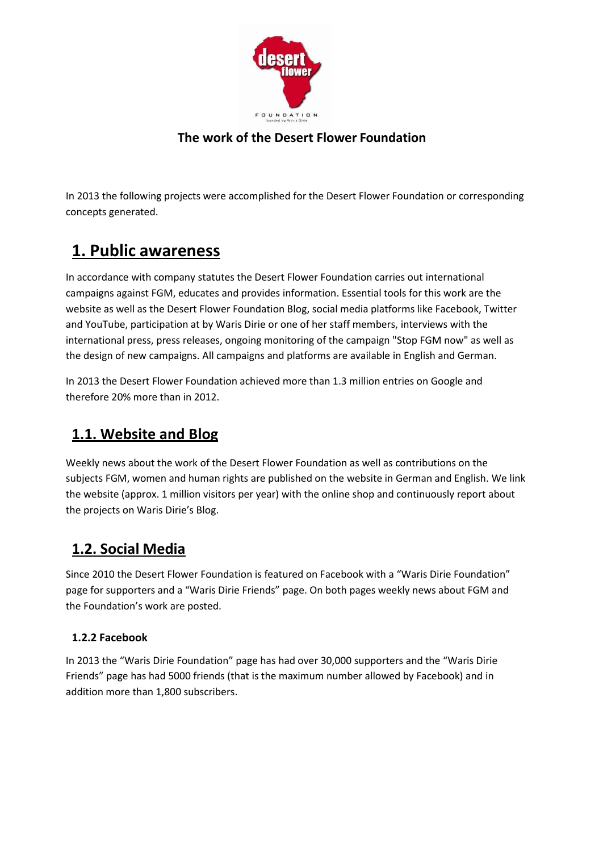

In 2013 the following projects were accomplished for the Desert Flower Foundation or corresponding concepts generated.

### **1. Public awareness**

In accordance with company statutes the Desert Flower Foundation carries out international campaigns against FGM, educates and provides information. Essential tools for this work are the website as well as the Desert Flower Foundation Blog, social media platforms like Facebook, Twitter and YouTube, participation at by Waris Dirie or one of her staff members, interviews with the international press, press releases, ongoing monitoring of the campaign "Stop FGM now" as well as the design of new campaigns. All campaigns and platforms are available in English and German.

In 2013 the Desert Flower Foundation achieved more than 1.3 million entries on Google and therefore 20% more than in 2012.

### **1.1. Website and Blog**

Weekly news about the work of the Desert Flower Foundation as well as contributions on the subjects FGM, women and human rights are published on the website in German and English. We link the website (approx. 1 million visitors per year) with the online shop and continuously report about the projects on Waris Dirie's Blog.

### **1.2. Social Media**

Since 2010 the Desert Flower Foundation is featured on Facebook with a "Waris Dirie Foundation" page for supporters and a "Waris Dirie Friends" page. On both pages weekly news about FGM and the Foundation's work are posted.

#### **1.2.2 Facebook**

In 2013 the "Waris Dirie Foundation" page has had over 30,000 supporters and the "Waris Dirie Friends" page has had 5000 friends (that is the maximum number allowed by Facebook) and in addition more than 1,800 subscribers.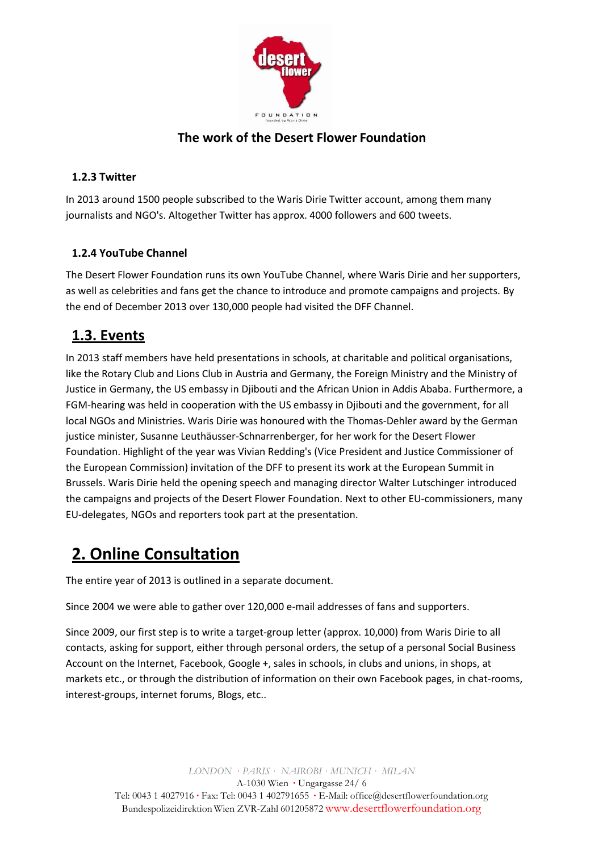

#### **1.2.3 Twitter**

In 2013 around 1500 people subscribed to the Waris Dirie Twitter account, among them many journalists and NGO's. Altogether Twitter has approx. 4000 followers and 600 tweets.

#### **1.2.4 YouTube Channel**

The Desert Flower Foundation runs its own YouTube Channel, where Waris Dirie and her supporters, as well as celebrities and fans get the chance to introduce and promote campaigns and projects. By the end of December 2013 over 130,000 people had visited the DFF Channel.

### **1.3. Events**

In 2013 staff members have held presentations in schools, at charitable and political organisations, like the Rotary Club and Lions Club in Austria and Germany, the Foreign Ministry and the Ministry of Justice in Germany, the US embassy in Djibouti and the African Union in Addis Ababa. Furthermore, a FGM-hearing was held in cooperation with the US embassy in Djibouti and the government, for all local NGOs and Ministries. Waris Dirie was honoured with the Thomas-Dehler award by the German justice minister, Susanne Leuthäusser-Schnarrenberger, for her work for the Desert Flower Foundation. Highlight of the year was Vivian Redding's (Vice President and Justice Commissioner of the European Commission) invitation of the DFF to present its work at the European Summit in Brussels. Waris Dirie held the opening speech and managing director Walter Lutschinger introduced the campaigns and projects of the Desert Flower Foundation. Next to other EU-commissioners, many EU-delegates, NGOs and reporters took part at the presentation.

### **2. Online Consultation**

The entire year of 2013 is outlined in a separate document.

Since 2004 we were able to gather over 120,000 e-mail addresses of fans and supporters.

Since 2009, our first step is to write a target-group letter (approx. 10,000) from Waris Dirie to all contacts, asking for support, either through personal orders, the setup of a personal Social Business Account on the Internet, Facebook, Google +, sales in schools, in clubs and unions, in shops, at markets etc., or through the distribution of information on their own Facebook pages, in chat-rooms, interest-groups, internet forums, Blogs, etc..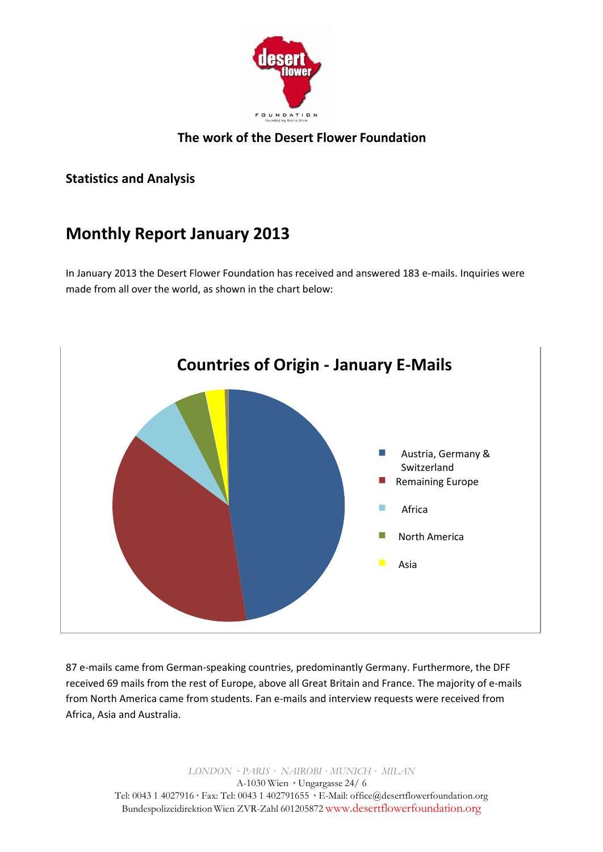

#### **Statistics and Analysis**

### **Monthly Report January 2013**

In January 2013 the Desert Flower Foundation has received and answered 183 e-mails. Inquiries were made from all over the world, as shown in the chart below:



87 e-mails came from German-speaking countries, predominantly Germany. Furthermore, the DFF received 69 mails from the rest of Europe, above all Great Britain and France. The majority of e-mails from North America came from students. Fan e-mails and interview requests were received from Africa, Asia and Australia.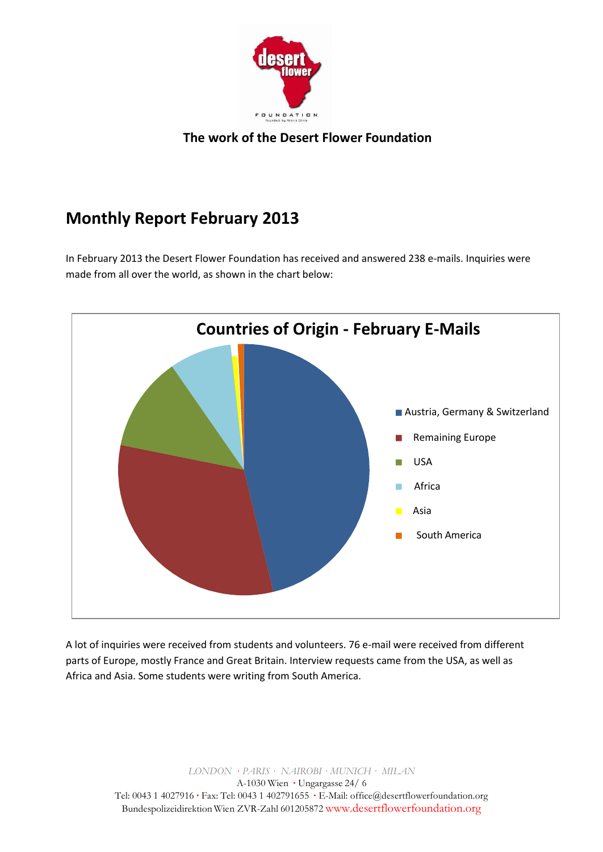

# **Monthly Report February 2013**

In February 2013 the Desert Flower Foundation has received and answered 238 e-mails. Inquiries were made from all over the world, as shown in the chart below:



A lot of inquiries were received from students and volunteers. 76 e-mail were received from different parts of Europe, mostly France and Great Britain. Interview requests came from the USA, as well as Africa and Asia. Some students were writing from South America.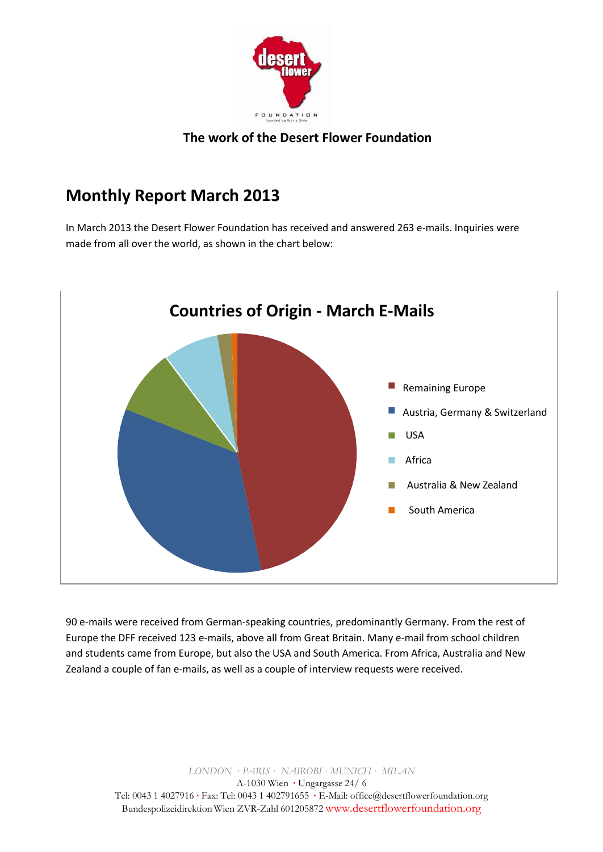

### **Monthly Report March 2013**

In March 2013 the Desert Flower Foundation has received and answered 263 e-mails. Inquiries were made from all over the world, as shown in the chart below:



90 e-mails were received from German-speaking countries, predominantly Germany. From the rest of Europe the DFF received 123 e-mails, above all from Great Britain. Many e-mail from school children and students came from Europe, but also the USA and South America. From Africa, Australia and New Zealand a couple of fan e-mails, as well as a couple of interview requests were received.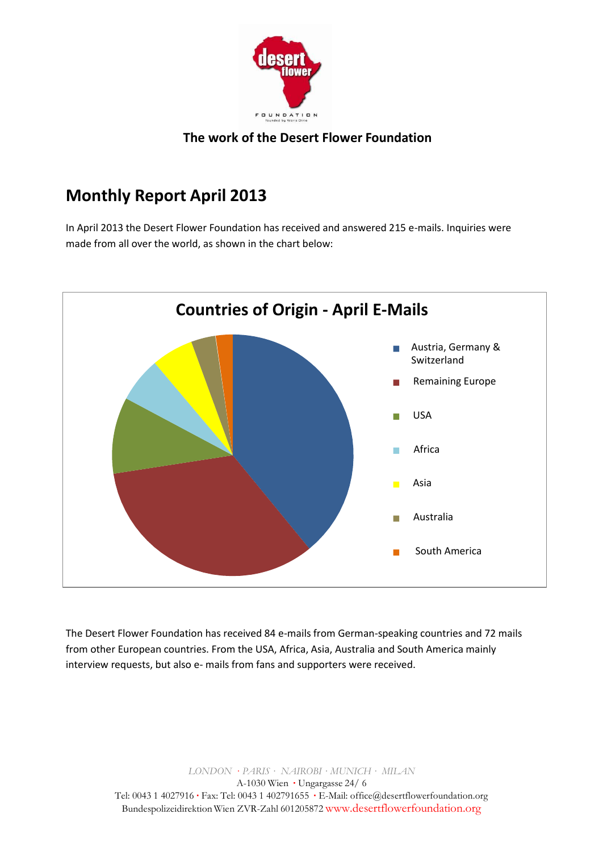

### **Monthly Report April 2013**

In April 2013 the Desert Flower Foundation has received and answered 215 e-mails. Inquiries were made from all over the world, as shown in the chart below:



The Desert Flower Foundation has received 84 e-mails from German-speaking countries and 72 mails from other European countries. From the USA, Africa, Asia, Australia and South America mainly interview requests, but also e- mails from fans and supporters were received.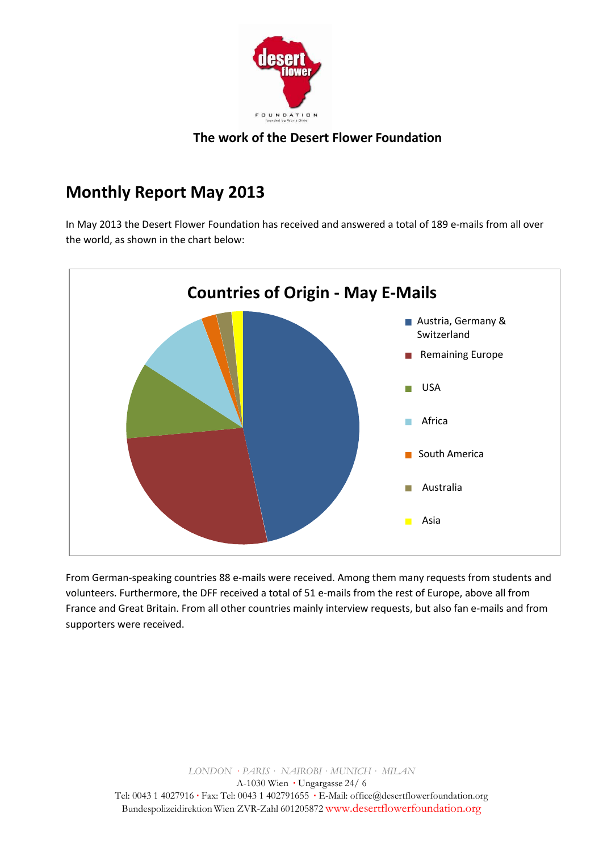

### **Monthly Report May 2013**

In May 2013 the Desert Flower Foundation has received and answered a total of 189 e-mails from all over the world, as shown in the chart below:



From German-speaking countries 88 e-mails were received. Among them many requests from students and volunteers. Furthermore, the DFF received a total of 51 e-mails from the rest of Europe, above all from France and Great Britain. From all other countries mainly interview requests, but also fan e-mails and from supporters were received.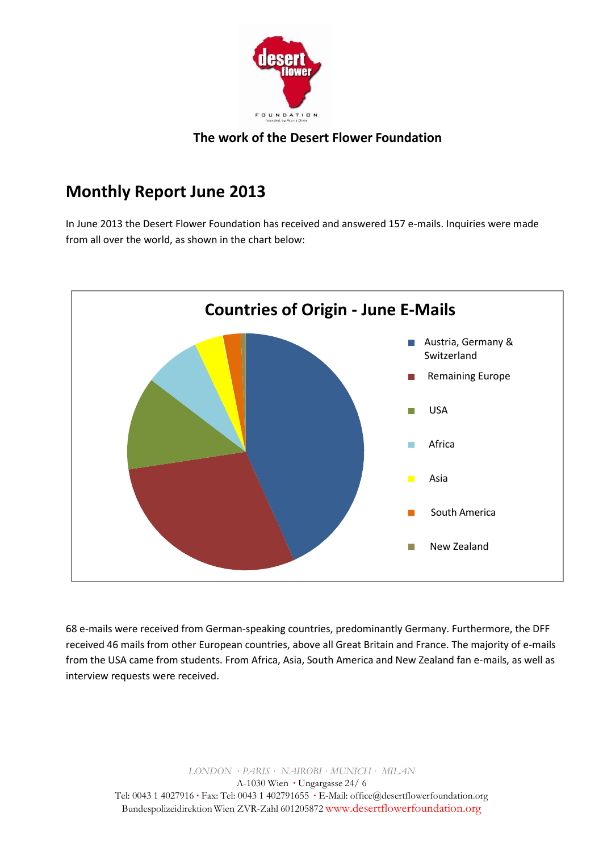

### **Monthly Report June 2013**

In June 2013 the Desert Flower Foundation has received and answered 157 e-mails. Inquiries were made from all over the world, as shown in the chart below:



68 e-mails were received from German-speaking countries, predominantly Germany. Furthermore, the DFF received 46 mails from other European countries, above all Great Britain and France. The majority of e-mails from the USA came from students. From Africa, Asia, South America and New Zealand fan e-mails, as well as interview requests were received.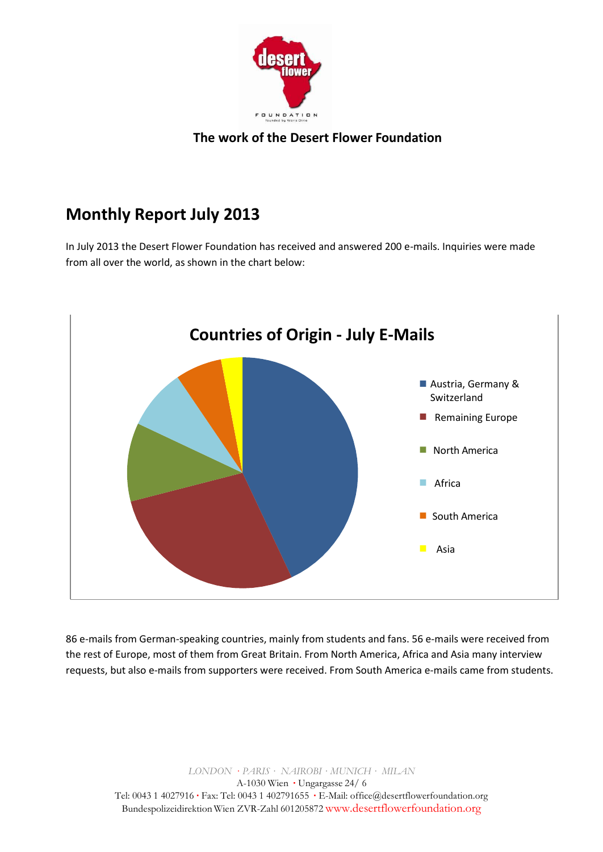

# **Monthly Report July 2013**

In July 2013 the Desert Flower Foundation has received and answered 200 e-mails. Inquiries were made from all over the world, as shown in the chart below:



86 e-mails from German-speaking countries, mainly from students and fans. 56 e-mails were received from the rest of Europe, most of them from Great Britain. From North America, Africa and Asia many interview requests, but also e-mails from supporters were received. From South America e-mails came from students.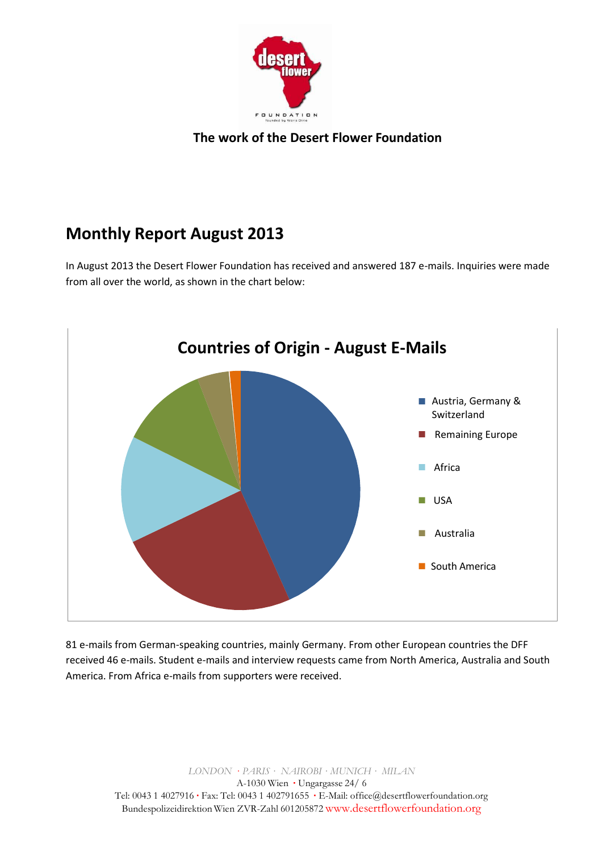

# **Monthly Report August 2013**

In August 2013 the Desert Flower Foundation has received and answered 187 e-mails. Inquiries were made from all over the world, as shown in the chart below:



81 e-mails from German-speaking countries, mainly Germany. From other European countries the DFF received 46 e-mails. Student e-mails and interview requests came from North America, Australia and South America. From Africa e-mails from supporters were received.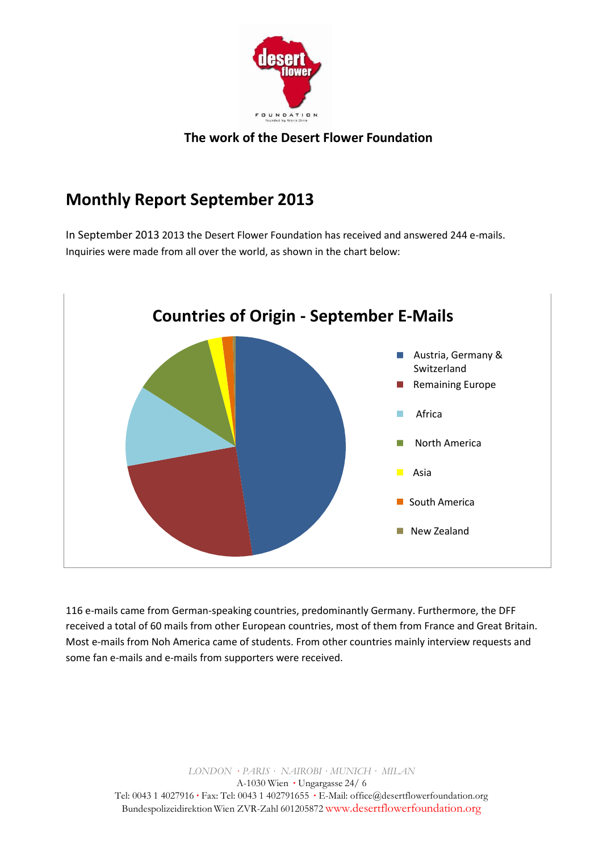

### **Monthly Report September 2013**

In September 2013 2013 the Desert Flower Foundation has received and answered 244 e-mails. Inquiries were made from all over the world, as shown in the chart below:



116 e-mails came from German-speaking countries, predominantly Germany. Furthermore, the DFF received a total of 60 mails from other European countries, most of them from France and Great Britain. Most e-mails from Noh America came of students. From other countries mainly interview requests and some fan e-mails and e-mails from supporters were received.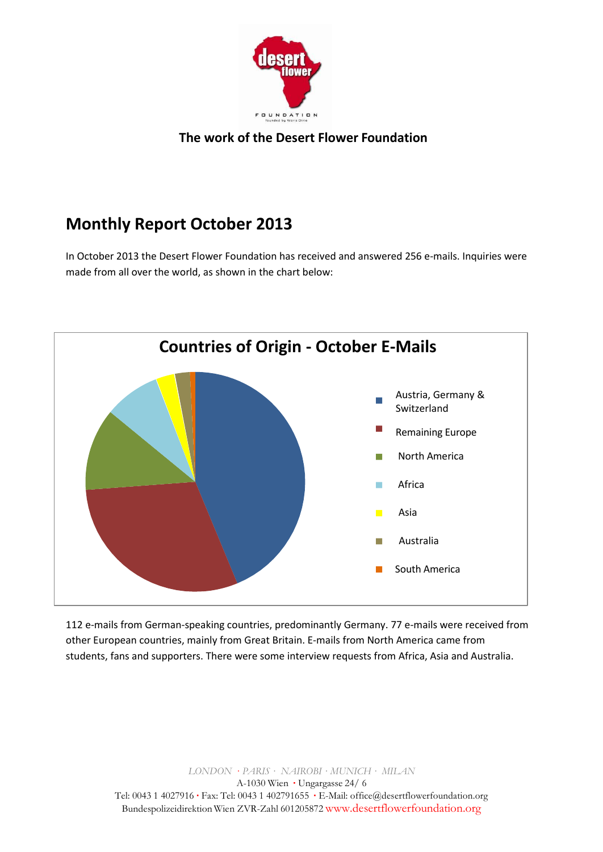

### **Monthly Report October 2013**

In October 2013 the Desert Flower Foundation has received and answered 256 e-mails. Inquiries were made from all over the world, as shown in the chart below:



112 e-mails from German-speaking countries, predominantly Germany. 77 e-mails were received from other European countries, mainly from Great Britain. E-mails from North America came from students, fans and supporters. There were some interview requests from Africa, Asia and Australia.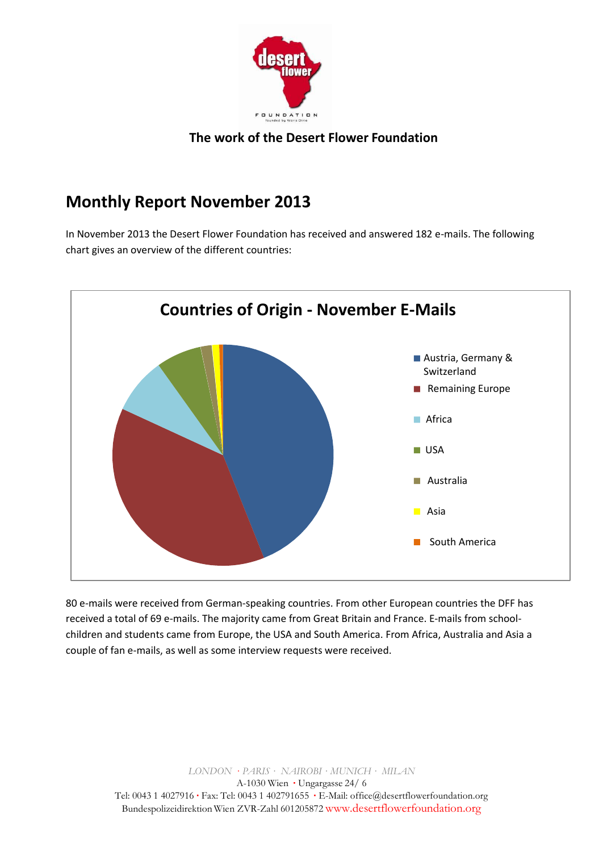

### **Monthly Report November 2013**

In November 2013 the Desert Flower Foundation has received and answered 182 e-mails. The following chart gives an overview of the different countries:



80 e-mails were received from German-speaking countries. From other European countries the DFF has received a total of 69 e-mails. The majority came from Great Britain and France. E-mails from schoolchildren and students came from Europe, the USA and South America. From Africa, Australia and Asia a couple of fan e-mails, as well as some interview requests were received.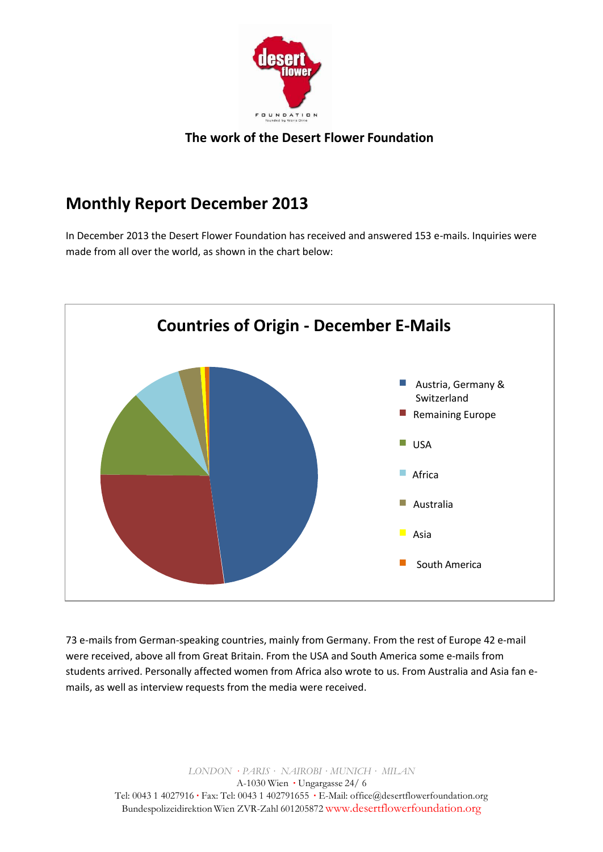

### **Monthly Report December 2013**

In December 2013 the Desert Flower Foundation has received and answered 153 e-mails. Inquiries were made from all over the world, as shown in the chart below:



73 e-mails from German-speaking countries, mainly from Germany. From the rest of Europe 42 e-mail were received, above all from Great Britain. From the USA and South America some e-mails from students arrived. Personally affected women from Africa also wrote to us. From Australia and Asia fan emails, as well as interview requests from the media were received.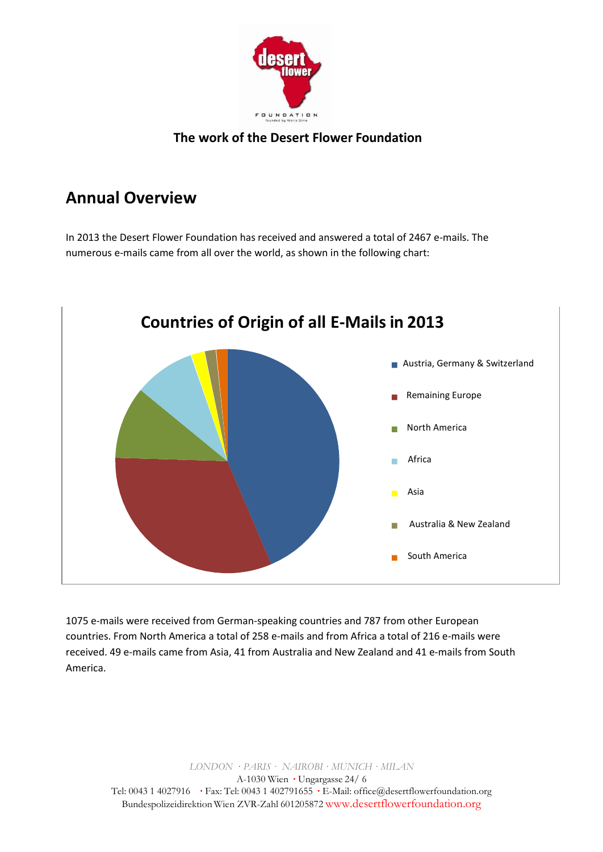

### **Annual Overview**

In 2013 the Desert Flower Foundation has received and answered a total of 2467 e-mails. The numerous e-mails came from all over the world, as shown in the following chart:



1075 e-mails were received from German-speaking countries and 787 from other European countries. From North America a total of 258 e-mails and from Africa a total of 216 e-mails were received. 49 e-mails came from Asia, 41 from Australia and New Zealand and 41 e-mails from South America.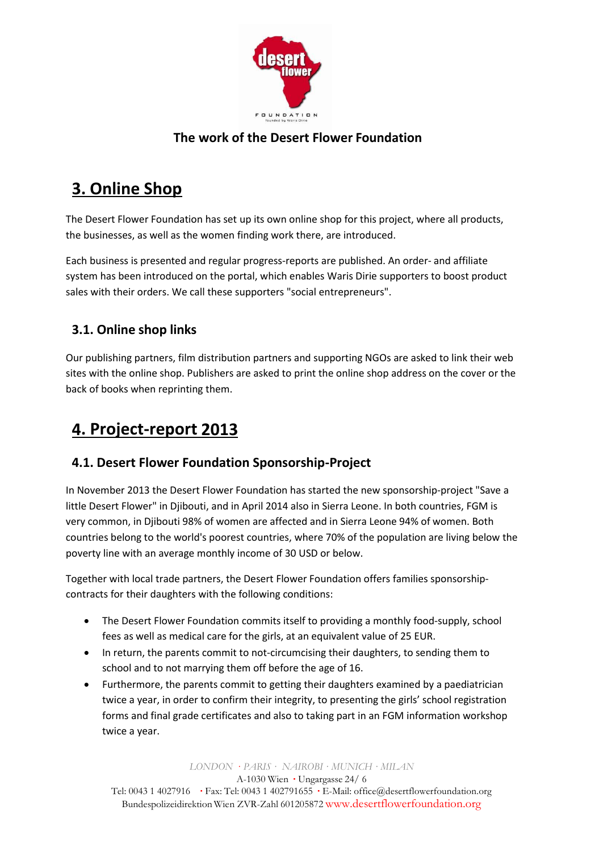

# **3. Online Shop**

The Desert Flower Foundation has set up its own online shop for this project, where all products, the businesses, as well as the women finding work there, are introduced.

Each business is presented and regular progress-reports are published. An order- and affiliate system has been introduced on the portal, which enables Waris Dirie supporters to boost product sales with their orders. We call these supporters "social entrepreneurs".

#### **3.1. Online shop links**

Our publishing partners, film distribution partners and supporting NGOs are asked to link their web sites with the online shop. Publishers are asked to print the online shop address on the cover or the back of books when reprinting them.

### **4. Project-report 2013**

#### **4.1. Desert Flower Foundation Sponsorship-Project**

In November 2013 the Desert Flower Foundation has started the new sponsorship-project "Save a little Desert Flower" in Djibouti, and in April 2014 also in Sierra Leone. In both countries, FGM is very common, in Djibouti 98% of women are affected and in Sierra Leone 94% of women. Both countries belong to the world's poorest countries, where 70% of the population are living below the poverty line with an average monthly income of 30 USD or below.

Together with local trade partners, the Desert Flower Foundation offers families sponsorshipcontracts for their daughters with the following conditions:

- The Desert Flower Foundation commits itself to providing a monthly food-supply, school fees as well as medical care for the girls, at an equivalent value of 25 EUR.
- In return, the parents commit to not-circumcising their daughters, to sending them to school and to not marrying them off before the age of 16.
- Furthermore, the parents commit to getting their daughters examined by a paediatrician twice a year, in order to confirm their integrity, to presenting the girls' school registration forms and final grade certificates and also to taking part in an FGM information workshop twice a year.

*LONDON · PARIS · NAIROBI · MUNICH · MILAN*

A-1030 Wien ·Ungargasse 24/ 6

Tel: 0043 1 4027916 ·Fax: Tel: 0043 1 402791655 ·E-Mail: [office@desertflowerfoundation.org](mailto:office@desertflowerfoundation.org) Bundespolizeidirektion Wien ZVR-Zahl 601205872 [www.desertflowerfoundation.org](http://www.desertflowerfoundation.org/)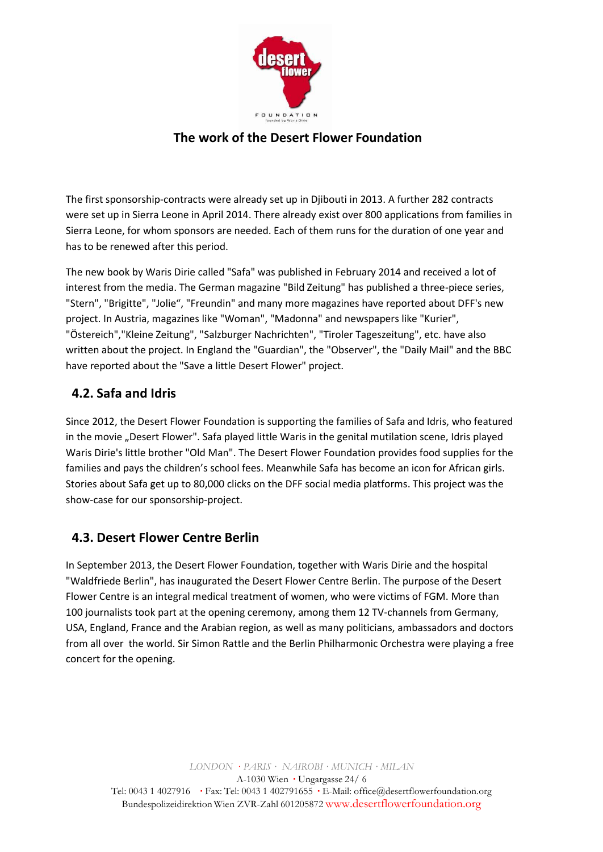

The first sponsorship-contracts were already set up in Djibouti in 2013. A further 282 contracts were set up in Sierra Leone in April 2014. There already exist over 800 applications from families in Sierra Leone, for whom sponsors are needed. Each of them runs for the duration of one year and has to be renewed after this period.

The new book by Waris Dirie called "Safa" was published in February 2014 and received a lot of interest from the media. The German magazine "Bild Zeitung" has published a three-piece series, "Stern", "Brigitte", "Jolie", "Freundin" and many more magazines have reported about DFF's new project. In Austria, magazines like "Woman", "Madonna" and newspapers like "Kurier", "Östereich","Kleine Zeitung", "Salzburger Nachrichten", "Tiroler Tageszeitung", etc. have also written about the project. In England the "Guardian", the "Observer", the "Daily Mail" and the BBC have reported about the "Save a little Desert Flower" project.

#### **4.2. Safa and Idris**

Since 2012, the Desert Flower Foundation is supporting the families of Safa and Idris, who featured in the movie "Desert Flower". Safa played little Waris in the genital mutilation scene, Idris played Waris Dirie's little brother "Old Man". The Desert Flower Foundation provides food supplies for the families and pays the children's school fees. Meanwhile Safa has become an icon for African girls. Stories about Safa get up to 80,000 clicks on the DFF social media platforms. This project was the show-case for our sponsorship-project.

#### **4.3. Desert Flower Centre Berlin**

In September 2013, the Desert Flower Foundation, together with Waris Dirie and the hospital "Waldfriede Berlin", has inaugurated the Desert Flower Centre Berlin. The purpose of the Desert Flower Centre is an integral medical treatment of women, who were victims of FGM. More than 100 journalists took part at the opening ceremony, among them 12 TV-channels from Germany, USA, England, France and the Arabian region, as well as many politicians, ambassadors and doctors from all over the world. Sir Simon Rattle and the Berlin Philharmonic Orchestra were playing a free concert for the opening.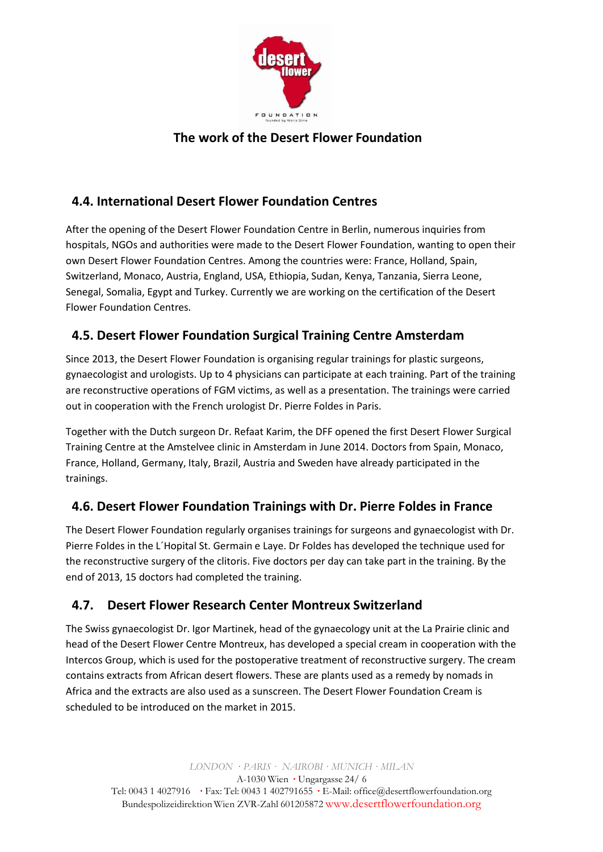

#### **4.4. International Desert Flower Foundation Centres**

After the opening of the Desert Flower Foundation Centre in Berlin, numerous inquiries from hospitals, NGOs and authorities were made to the Desert Flower Foundation, wanting to open their own Desert Flower Foundation Centres. Among the countries were: France, Holland, Spain, Switzerland, Monaco, Austria, England, USA, Ethiopia, Sudan, Kenya, Tanzania, Sierra Leone, Senegal, Somalia, Egypt and Turkey. Currently we are working on the certification of the Desert Flower Foundation Centres.

#### **4.5. Desert Flower Foundation Surgical Training Centre Amsterdam**

Since 2013, the Desert Flower Foundation is organising regular trainings for plastic surgeons, gynaecologist and urologists. Up to 4 physicians can participate at each training. Part of the training are reconstructive operations of FGM victims, as well as a presentation. The trainings were carried out in cooperation with the French urologist Dr. Pierre Foldes in Paris.

Together with the Dutch surgeon Dr. Refaat Karim, the DFF opened the first Desert Flower Surgical Training Centre at the Amstelvee clinic in Amsterdam in June 2014. Doctors from Spain, Monaco, France, Holland, Germany, Italy, Brazil, Austria and Sweden have already participated in the trainings.

#### **4.6. Desert Flower Foundation Trainings with Dr. Pierre Foldes in France**

The Desert Flower Foundation regularly organises trainings for surgeons and gynaecologist with Dr. Pierre Foldes in the L´Hopital St. Germain e Laye. Dr Foldes has developed the technique used for the reconstructive surgery of the clitoris. Five doctors per day can take part in the training. By the end of 2013, 15 doctors had completed the training.

#### **4.7. Desert Flower Research Center Montreux Switzerland**

The Swiss gynaecologist Dr. Igor Martinek, head of the gynaecology unit at the La Prairie clinic and head of the Desert Flower Centre Montreux, has developed a special cream in cooperation with the Intercos Group, which is used for the postoperative treatment of reconstructive surgery. The cream contains extracts from African desert flowers. These are plants used as a remedy by nomads in Africa and the extracts are also used as a sunscreen. The Desert Flower Foundation Cream is scheduled to be introduced on the market in 2015.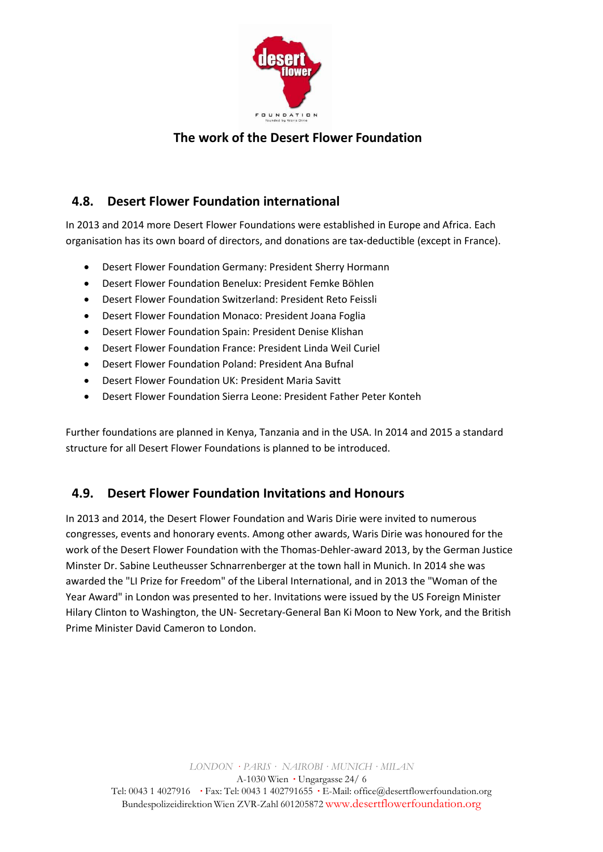

#### **4.8. Desert Flower Foundation international**

In 2013 and 2014 more Desert Flower Foundations were established in Europe and Africa. Each organisation has its own board of directors, and donations are tax-deductible (except in France).

- Desert Flower Foundation Germany: President Sherry Hormann
- Desert Flower Foundation Benelux: President Femke Böhlen
- Desert Flower Foundation Switzerland: President Reto Feissli
- Desert Flower Foundation Monaco: President Joana Foglia
- Desert Flower Foundation Spain: President Denise Klishan
- Desert Flower Foundation France: President Linda Weil Curiel
- Desert Flower Foundation Poland: President Ana Bufnal
- Desert Flower Foundation UK: President Maria Savitt
- Desert Flower Foundation Sierra Leone: President Father Peter Konteh

Further foundations are planned in Kenya, Tanzania and in the USA. In 2014 and 2015 a standard structure for all Desert Flower Foundations is planned to be introduced.

#### **4.9. Desert Flower Foundation Invitations and Honours**

In 2013 and 2014, the Desert Flower Foundation and Waris Dirie were invited to numerous congresses, events and honorary events. Among other awards, Waris Dirie was honoured for the work of the Desert Flower Foundation with the Thomas-Dehler-award 2013, by the German Justice Minster Dr. Sabine Leutheusser Schnarrenberger at the town hall in Munich. In 2014 she was awarded the "LI Prize for Freedom" of the Liberal International, and in 2013 the "Woman of the Year Award" in London was presented to her. Invitations were issued by the US Foreign Minister Hilary Clinton to Washington, the UN- Secretary-General Ban Ki Moon to New York, and the British Prime Minister David Cameron to London.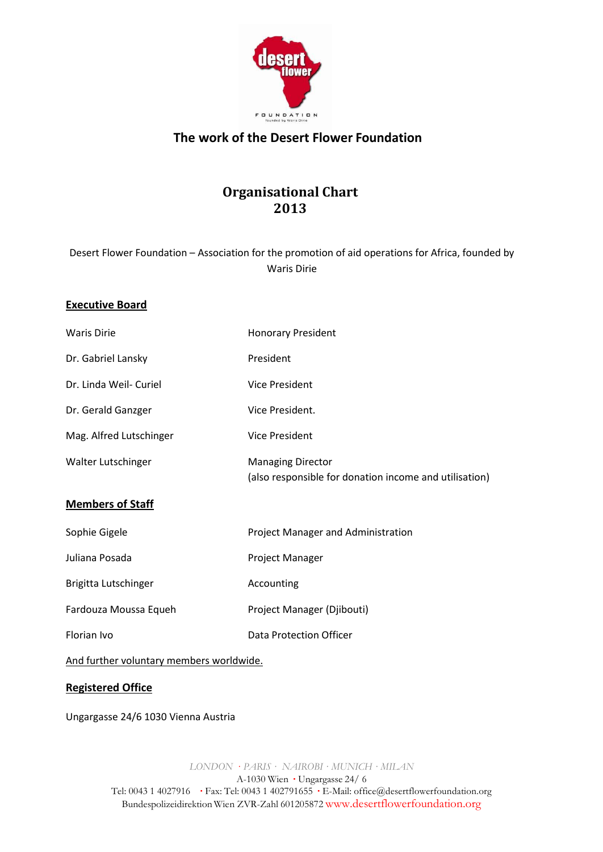

### **Organisational Chart 2013**

Desert Flower Foundation – Association for the promotion of aid operations for Africa, founded by Waris Dirie

#### **Executive Board**

| <b>Waris Dirie</b>                       | <b>Honorary President</b>                                                          |
|------------------------------------------|------------------------------------------------------------------------------------|
| Dr. Gabriel Lansky                       | President                                                                          |
| Dr. Linda Weil- Curiel                   | <b>Vice President</b>                                                              |
| Dr. Gerald Ganzger                       | Vice President.                                                                    |
| Mag. Alfred Lutschinger                  | Vice President                                                                     |
| Walter Lutschinger                       | <b>Managing Director</b><br>(also responsible for donation income and utilisation) |
| <b>Members of Staff</b>                  |                                                                                    |
| Sophie Gigele                            | Project Manager and Administration                                                 |
| Juliana Posada                           | Project Manager                                                                    |
| Brigitta Lutschinger                     | Accounting                                                                         |
| Fardouza Moussa Equeh                    | Project Manager (Djibouti)                                                         |
| Florian Ivo                              | <b>Data Protection Officer</b>                                                     |
| And further voluntary members worldwide. |                                                                                    |

#### **Registered Office**

Ungargasse 24/6 1030 Vienna Austria

*LONDON · PARIS · NAIROBI · MUNICH · MILAN*